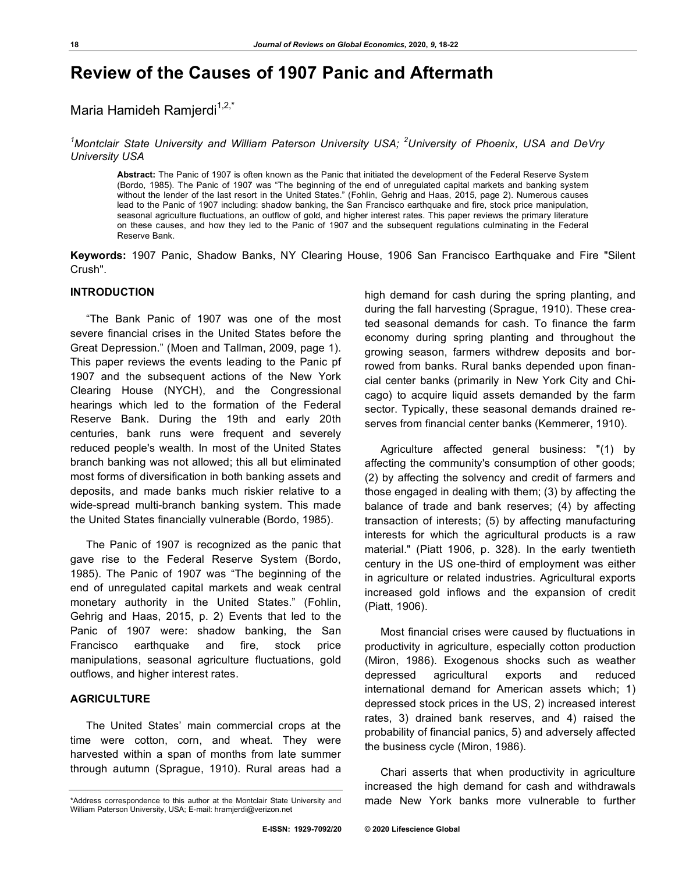# **Review of the Causes of 1907 Panic and Aftermath**

## Maria Hamideh Ramjerdi $1,2,3$

*1 Montclair State University and William Paterson University USA; <sup>2</sup> University of Phoenix, USA and DeVry University USA*

**Abstract:** The Panic of 1907 is often known as the Panic that initiated the development of the Federal Reserve System (Bordo, 1985). The Panic of 1907 was "The beginning of the end of unregulated capital markets and banking system without the lender of the last resort in the United States." (Fohlin, Gehrig and Haas, 2015, page 2). Numerous causes lead to the Panic of 1907 including: shadow banking, the San Francisco earthquake and fire, stock price manipulation, seasonal agriculture fluctuations, an outflow of gold, and higher interest rates. This paper reviews the primary literature on these causes, and how they led to the Panic of 1907 and the subsequent regulations culminating in the Federal Reserve Bank.

**Keywords:** 1907 Panic, Shadow Banks, NY Clearing House, 1906 San Francisco Earthquake and Fire "Silent Crush".

### **INTRODUCTION**

"The Bank Panic of 1907 was one of the most severe financial crises in the United States before the Great Depression." (Moen and Tallman, 2009, page 1). This paper reviews the events leading to the Panic pf 1907 and the subsequent actions of the New York Clearing House (NYCH), and the Congressional hearings which led to the formation of the Federal Reserve Bank. During the 19th and early 20th centuries, bank runs were frequent and severely reduced people's wealth. In most of the United States branch banking was not allowed; this all but eliminated most forms of diversification in both banking assets and deposits, and made banks much riskier relative to a wide-spread multi-branch banking system. This made the United States financially vulnerable (Bordo, 1985).

The Panic of 1907 is recognized as the panic that gave rise to the Federal Reserve System (Bordo, 1985). The Panic of 1907 was "The beginning of the end of unregulated capital markets and weak central monetary authority in the United States." (Fohlin, Gehrig and Haas, 2015, p. 2) Events that led to the Panic of 1907 were: shadow banking, the San Francisco earthquake and fire, stock price manipulations, seasonal agriculture fluctuations, gold outflows, and higher interest rates.

#### **AGRICULTURE**

The United States' main commercial crops at the time were cotton, corn, and wheat. They were harvested within a span of months from late summer through autumn (Sprague, 1910). Rural areas had a high demand for cash during the spring planting, and during the fall harvesting (Sprague, 1910). These created seasonal demands for cash. To finance the farm economy during spring planting and throughout the growing season, farmers withdrew deposits and borrowed from banks. Rural banks depended upon financial center banks (primarily in New York City and Chicago) to acquire liquid assets demanded by the farm sector. Typically, these seasonal demands drained reserves from financial center banks (Kemmerer, 1910).

Agriculture affected general business: "(1) by affecting the community's consumption of other goods; (2) by affecting the solvency and credit of farmers and those engaged in dealing with them; (3) by affecting the balance of trade and bank reserves; (4) by affecting transaction of interests; (5) by affecting manufacturing interests for which the agricultural products is a raw material." (Piatt 1906, p. 328). In the early twentieth century in the US one-third of employment was either in agriculture or related industries. Agricultural exports increased gold inflows and the expansion of credit (Piatt, 1906).

Most financial crises were caused by fluctuations in productivity in agriculture, especially cotton production (Miron, 1986). Exogenous shocks such as weather depressed agricultural exports and reduced international demand for American assets which; 1) depressed stock prices in the US, 2) increased interest rates, 3) drained bank reserves, and 4) raised the probability of financial panics, 5) and adversely affected the business cycle (Miron, 1986).

Chari asserts that when productivity in agriculture increased the high demand for cash and withdrawals made New York banks more vulnerable to further

<sup>\*</sup>Address correspondence to this author at the Montclair State University and William Paterson University, USA; E-mail: hramjerdi@verizon.net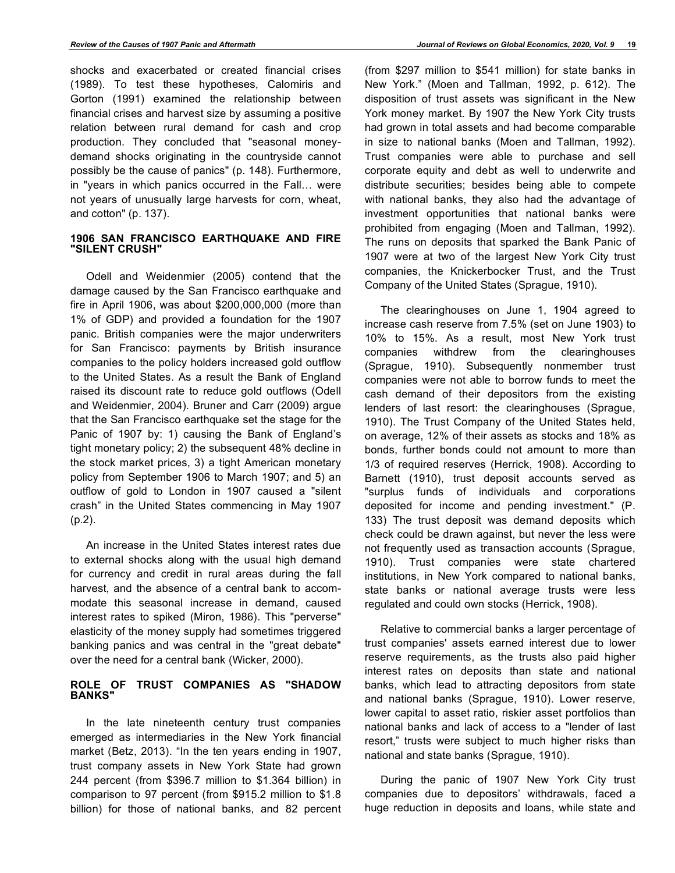shocks and exacerbated or created financial crises (1989). To test these hypotheses, Calomiris and Gorton (1991) examined the relationship between financial crises and harvest size by assuming a positive relation between rural demand for cash and crop production. They concluded that "seasonal moneydemand shocks originating in the countryside cannot possibly be the cause of panics" (p. 148). Furthermore, in "years in which panics occurred in the Fall… were not years of unusually large harvests for corn, wheat, and cotton" (p. 137).

#### **1906 SAN FRANCISCO EARTHQUAKE AND FIRE "SILENT CRUSH"**

Odell and Weidenmier (2005) contend that the damage caused by the San Francisco earthquake and fire in April 1906, was about \$200,000,000 (more than 1% of GDP) and provided a foundation for the 1907 panic. British companies were the major underwriters for San Francisco: payments by British insurance companies to the policy holders increased gold outflow to the United States. As a result the Bank of England raised its discount rate to reduce gold outflows (Odell and Weidenmier, 2004). Bruner and Carr (2009) argue that the San Francisco earthquake set the stage for the Panic of 1907 by: 1) causing the Bank of England's tight monetary policy; 2) the subsequent 48% decline in the stock market prices, 3) a tight American monetary policy from September 1906 to March 1907; and 5) an outflow of gold to London in 1907 caused a "silent crash" in the United States commencing in May 1907 (p.2).

An increase in the United States interest rates due to external shocks along with the usual high demand for currency and credit in rural areas during the fall harvest, and the absence of a central bank to accommodate this seasonal increase in demand, caused interest rates to spiked (Miron, 1986). This "perverse" elasticity of the money supply had sometimes triggered banking panics and was central in the "great debate" over the need for a central bank (Wicker, 2000).

#### **ROLE OF TRUST COMPANIES AS "SHADOW BANKS"**

In the late nineteenth century trust companies emerged as intermediaries in the New York financial market (Betz, 2013). "In the ten years ending in 1907, trust company assets in New York State had grown 244 percent (from \$396.7 million to \$1.364 billion) in comparison to 97 percent (from \$915.2 million to \$1.8 billion) for those of national banks, and 82 percent (from \$297 million to \$541 million) for state banks in New York." (Moen and Tallman, 1992, p. 612). The disposition of trust assets was significant in the New York money market. By 1907 the New York City trusts had grown in total assets and had become comparable in size to national banks (Moen and Tallman, 1992). Trust companies were able to purchase and sell corporate equity and debt as well to underwrite and distribute securities; besides being able to compete with national banks, they also had the advantage of investment opportunities that national banks were prohibited from engaging (Moen and Tallman, 1992). The runs on deposits that sparked the Bank Panic of 1907 were at two of the largest New York City trust companies, the Knickerbocker Trust, and the Trust Company of the United States (Sprague, 1910).

The clearinghouses on June 1, 1904 agreed to increase cash reserve from 7.5% (set on June 1903) to 10% to 15%. As a result, most New York trust companies withdrew from the clearinghouses (Sprague, 1910). Subsequently nonmember trust companies were not able to borrow funds to meet the cash demand of their depositors from the existing lenders of last resort: the clearinghouses (Sprague, 1910). The Trust Company of the United States held, on average, 12% of their assets as stocks and 18% as bonds, further bonds could not amount to more than 1/3 of required reserves (Herrick, 1908). According to Barnett (1910), trust deposit accounts served as "surplus funds of individuals and corporations deposited for income and pending investment." (P. 133) The trust deposit was demand deposits which check could be drawn against, but never the less were not frequently used as transaction accounts (Sprague, 1910). Trust companies were state chartered institutions, in New York compared to national banks, state banks or national average trusts were less regulated and could own stocks (Herrick, 1908).

Relative to commercial banks a larger percentage of trust companies' assets earned interest due to lower reserve requirements, as the trusts also paid higher interest rates on deposits than state and national banks, which lead to attracting depositors from state and national banks (Sprague, 1910). Lower reserve, lower capital to asset ratio, riskier asset portfolios than national banks and lack of access to a "lender of last resort," trusts were subject to much higher risks than national and state banks (Sprague, 1910).

During the panic of 1907 New York City trust companies due to depositors' withdrawals, faced a huge reduction in deposits and loans, while state and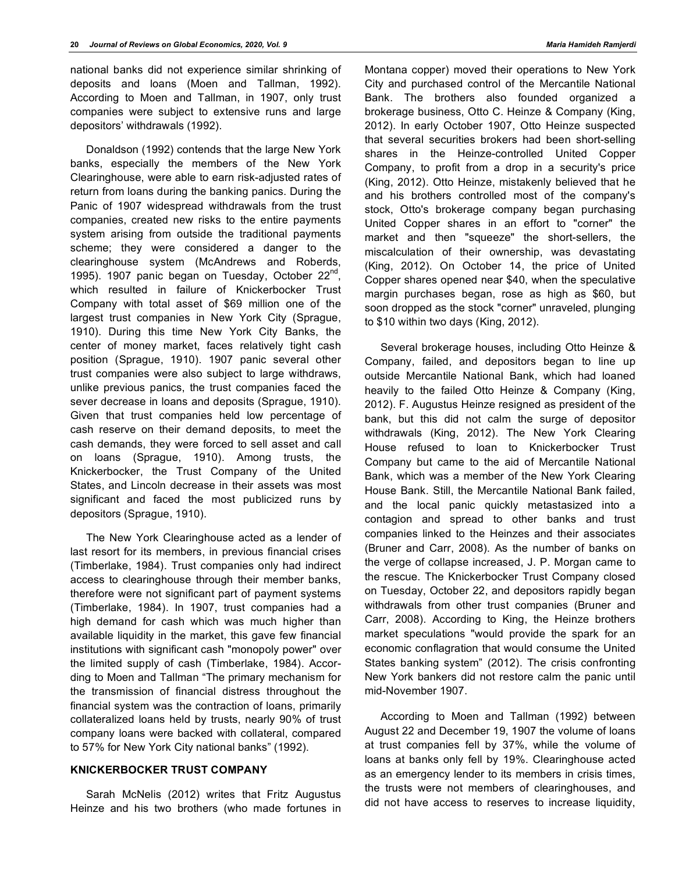national banks did not experience similar shrinking of deposits and loans (Moen and Tallman, 1992). According to Moen and Tallman, in 1907, only trust companies were subject to extensive runs and large depositors' withdrawals (1992).

Donaldson (1992) contends that the large New York banks, especially the members of the New York Clearinghouse, were able to earn risk-adjusted rates of return from loans during the banking panics. During the Panic of 1907 widespread withdrawals from the trust companies, created new risks to the entire payments system arising from outside the traditional payments scheme; they were considered a danger to the clearinghouse system (McAndrews and Roberds, 1995). 1907 panic began on Tuesday, October  $22^{\text{nd}}$ , which resulted in failure of Knickerbocker Trust Company with total asset of \$69 million one of the largest trust companies in New York City (Sprague, 1910). During this time New York City Banks, the center of money market, faces relatively tight cash position (Sprague, 1910). 1907 panic several other trust companies were also subject to large withdraws, unlike previous panics, the trust companies faced the sever decrease in loans and deposits (Sprague, 1910). Given that trust companies held low percentage of cash reserve on their demand deposits, to meet the cash demands, they were forced to sell asset and call on loans (Sprague, 1910). Among trusts, the Knickerbocker, the Trust Company of the United States, and Lincoln decrease in their assets was most significant and faced the most publicized runs by depositors (Sprague, 1910).

The New York Clearinghouse acted as a lender of last resort for its members, in previous financial crises (Timberlake, 1984). Trust companies only had indirect access to clearinghouse through their member banks, therefore were not significant part of payment systems (Timberlake, 1984). In 1907, trust companies had a high demand for cash which was much higher than available liquidity in the market, this gave few financial institutions with significant cash "monopoly power" over the limited supply of cash (Timberlake, 1984). According to Moen and Tallman "The primary mechanism for the transmission of financial distress throughout the financial system was the contraction of loans, primarily collateralized loans held by trusts, nearly 90% of trust company loans were backed with collateral, compared to 57% for New York City national banks" (1992).

#### **KNICKERBOCKER TRUST COMPANY**

Sarah McNelis (2012) writes that Fritz Augustus Heinze and his two brothers (who made fortunes in Montana copper) moved their operations to New York City and purchased control of the Mercantile National Bank. The brothers also founded organized a brokerage business, Otto C. Heinze & Company (King, 2012). In early October 1907, Otto Heinze suspected that several securities brokers had been short-selling shares in the Heinze-controlled United Copper Company, to profit from a drop in a security's price (King, 2012). Otto Heinze, mistakenly believed that he and his brothers controlled most of the company's stock, Otto's brokerage company began purchasing United Copper shares in an effort to "corner" the market and then "squeeze" the short-sellers, the miscalculation of their ownership, was devastating (King, 2012). On October 14, the price of United Copper shares opened near \$40, when the speculative margin purchases began, rose as high as \$60, but soon dropped as the stock "corner" unraveled, plunging to \$10 within two days (King, 2012).

Several brokerage houses, including Otto Heinze & Company, failed, and depositors began to line up outside Mercantile National Bank, which had loaned heavily to the failed Otto Heinze & Company (King, 2012). F. Augustus Heinze resigned as president of the bank, but this did not calm the surge of depositor withdrawals (King, 2012). The New York Clearing House refused to loan to Knickerbocker Trust Company but came to the aid of Mercantile National Bank, which was a member of the New York Clearing House Bank. Still, the Mercantile National Bank failed, and the local panic quickly metastasized into a contagion and spread to other banks and trust companies linked to the Heinzes and their associates (Bruner and Carr, 2008). As the number of banks on the verge of collapse increased, J. P. Morgan came to the rescue. The Knickerbocker Trust Company closed on Tuesday, October 22, and depositors rapidly began withdrawals from other trust companies (Bruner and Carr, 2008). According to King, the Heinze brothers market speculations "would provide the spark for an economic conflagration that would consume the United States banking system" (2012). The crisis confronting New York bankers did not restore calm the panic until mid-November 1907.

According to Moen and Tallman (1992) between August 22 and December 19, 1907 the volume of loans at trust companies fell by 37%, while the volume of loans at banks only fell by 19%. Clearinghouse acted as an emergency lender to its members in crisis times, the trusts were not members of clearinghouses, and did not have access to reserves to increase liquidity,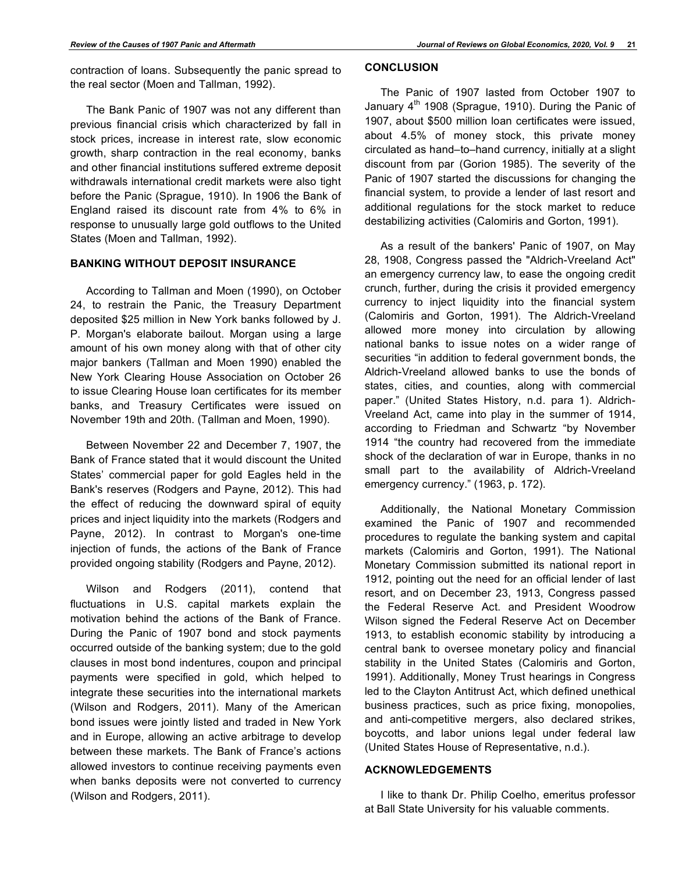contraction of loans. Subsequently the panic spread to the real sector (Moen and Tallman, 1992).

The Bank Panic of 1907 was not any different than previous financial crisis which characterized by fall in stock prices, increase in interest rate, slow economic growth, sharp contraction in the real economy, banks and other financial institutions suffered extreme deposit withdrawals international credit markets were also tight before the Panic (Sprague, 1910). In 1906 the Bank of England raised its discount rate from 4% to 6% in response to unusually large gold outflows to the United States (Moen and Tallman, 1992).

#### **BANKING WITHOUT DEPOSIT INSURANCE**

According to Tallman and Moen (1990), on October 24, to restrain the Panic, the Treasury Department deposited \$25 million in New York banks followed by J. P. Morgan's elaborate bailout. Morgan using a large amount of his own money along with that of other city major bankers (Tallman and Moen 1990) enabled the New York Clearing House Association on October 26 to issue Clearing House loan certificates for its member banks, and Treasury Certificates were issued on November 19th and 20th. (Tallman and Moen, 1990).

Between November 22 and December 7, 1907, the Bank of France stated that it would discount the United States' commercial paper for gold Eagles held in the Bank's reserves (Rodgers and Payne, 2012). This had the effect of reducing the downward spiral of equity prices and inject liquidity into the markets (Rodgers and Payne, 2012). In contrast to Morgan's one-time injection of funds, the actions of the Bank of France provided ongoing stability (Rodgers and Payne, 2012).

Wilson and Rodgers (2011), contend that fluctuations in U.S. capital markets explain the motivation behind the actions of the Bank of France. During the Panic of 1907 bond and stock payments occurred outside of the banking system; due to the gold clauses in most bond indentures, coupon and principal payments were specified in gold, which helped to integrate these securities into the international markets (Wilson and Rodgers, 2011). Many of the American bond issues were jointly listed and traded in New York and in Europe, allowing an active arbitrage to develop between these markets. The Bank of France's actions allowed investors to continue receiving payments even when banks deposits were not converted to currency (Wilson and Rodgers, 2011).

### **CONCLUSION**

The Panic of 1907 lasted from October 1907 to January  $4<sup>th</sup>$  1908 (Sprague, 1910). During the Panic of 1907, about \$500 million loan certificates were issued, about 4.5% of money stock, this private money circulated as hand–to–hand currency, initially at a slight discount from par (Gorion 1985). The severity of the Panic of 1907 started the discussions for changing the financial system, to provide a lender of last resort and additional regulations for the stock market to reduce destabilizing activities (Calomiris and Gorton, 1991).

As a result of the bankers' Panic of 1907, on May 28, 1908, Congress passed the "Aldrich-Vreeland Act" an emergency currency law, to ease the ongoing credit crunch, further, during the crisis it provided emergency currency to inject liquidity into the financial system (Calomiris and Gorton, 1991). The Aldrich-Vreeland allowed more money into circulation by allowing national banks to issue notes on a wider range of securities "in addition to federal government bonds, the Aldrich-Vreeland allowed banks to use the bonds of states, cities, and counties, along with commercial paper." (United States History, n.d. para 1). Aldrich-Vreeland Act, came into play in the summer of 1914, according to Friedman and Schwartz "by November 1914 "the country had recovered from the immediate shock of the declaration of war in Europe, thanks in no small part to the availability of Aldrich-Vreeland emergency currency." (1963, p. 172).

Additionally, the National Monetary Commission examined the Panic of 1907 and recommended procedures to regulate the banking system and capital markets (Calomiris and Gorton, 1991). The National Monetary Commission submitted its national report in 1912, pointing out the need for an official lender of last resort, and on December 23, 1913, Congress passed the Federal Reserve Act. and President Woodrow Wilson signed the Federal Reserve Act on December 1913, to establish economic stability by introducing a central bank to oversee monetary policy and financial stability in the United States (Calomiris and Gorton, 1991). Additionally, Money Trust hearings in Congress led to the Clayton Antitrust Act, which defined unethical business practices, such as price fixing, monopolies, and anti-competitive mergers, also declared strikes, boycotts, and labor unions legal under federal law (United States House of Representative, n.d.).

#### **ACKNOWLEDGEMENTS**

I like to thank Dr. Philip Coelho, emeritus professor at Ball State University for his valuable comments.